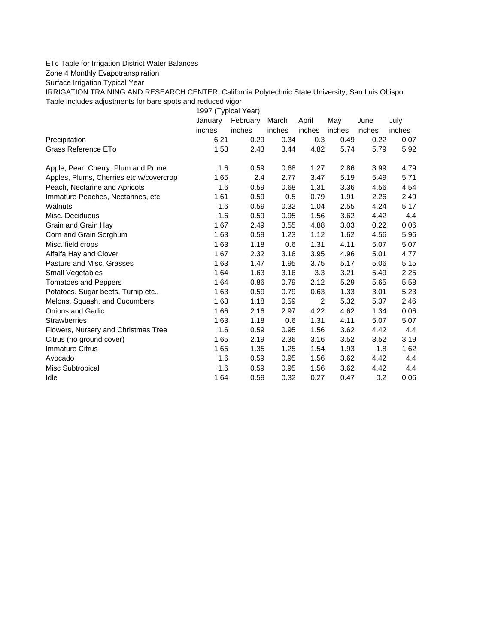## ETc Table for Irrigation District Water Balances

Zone 4 Monthly Evapotranspiration

Surface Irrigation Typical Year

IRRIGATION TRAINING AND RESEARCH CENTER, California Polytechnic State University, San Luis Obispo Table includes adjustments for bare spots and reduced vigor

1997 (Typical Year) January February March April May June July inches inches inches inches inches inches inches Precipitation 6.21 0.29 0.34 0.3 0.49 0.22 0.07 Grass Reference ETo **1.53** 2.43 3.44 4.82 5.74 5.79 5.92 Apple, Pear, Cherry, Plum and Prune 1.6 0.59 0.68 1.27 2.86 3.99 4.79 Apples, Plums, Cherries etc w/covercrop 1.65 2.4 2.77 3.47 5.19 5.49 5.71 Peach, Nectarine and Apricots 1.6 0.59 0.68 1.31 3.36 4.56 4.54 Immature Peaches, Nectarines, etc 1.61 0.59 0.5 0.79 1.91 2.26 2.49 Walnuts 1.6 0.59 0.32 1.04 2.55 4.24 5.17 Misc. Deciduous 1.6 0.59 0.95 1.56 3.62 4.42 4.4 Grain and Grain Hay 1.67 2.49 3.55 4.88 3.03 0.22 0.06 Corn and Grain Sorghum 1.63 0.59 1.23 1.12 1.62 4.56 5.96 Misc. field crops The Contract Contract 1.63 1.18 0.6 1.31 4.11 5.07 5.07 Alfalfa Hay and Clover 1.67 2.32 3.16 3.95 4.96 5.01 4.77 Pasture and Misc. Grasses 1.63 1.47 1.95 3.75 5.17 5.06 5.15 Small Vegetables 1.64 1.63 3.16 3.3 3.21 5.49 2.25 Tomatoes and Peppers 1.64 0.86 0.79 2.12 5.29 5.65 5.58 Potatoes, Sugar beets, Turnip etc.. 1.63 0.59 0.79 0.63 1.33 3.01 5.23 Melons, Squash, and Cucumbers 1.63 1.18 0.59 2 5.32 5.37 2.46 Onions and Garlic 1.66 2.16 2.97 4.22 4.62 1.34 0.06 Strawberries 1.63 1.18 0.6 1.31 4.11 5.07 5.07 Flowers, Nursery and Christmas Tree 1.6 0.59 0.95 1.56 3.62 4.42 4.4 Citrus (no ground cover) 1.65 2.19 2.36 3.16 3.52 3.52 3.19 Immature Citrus 1.65 1.35 1.25 1.54 1.93 1.8 1.62 Avocado 1.6 0.59 0.95 1.56 3.62 4.42 4.4 Misc Subtropical 1.6 0.59 0.95 1.56 3.62 4.42 4.4 Idle 1.64 0.59 0.32 0.27 0.47 0.2 0.06